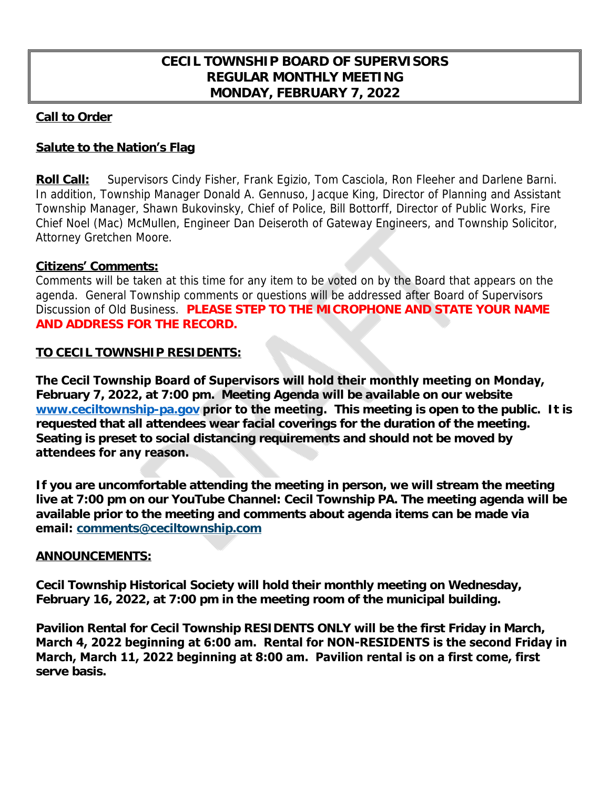# **CECIL TOWNSHIP BOARD OF SUPERVISORS REGULAR MONTHLY MEETING MONDAY, FEBRUARY 7, 2022**

### **Call to Order**

# **Salute to the Nation's Flag**

**Roll Call:** Supervisors Cindy Fisher, Frank Egizio, Tom Casciola, Ron Fleeher and Darlene Barni. In addition, Township Manager Donald A. Gennuso, Jacque King, Director of Planning and Assistant Township Manager, Shawn Bukovinsky, Chief of Police, Bill Bottorff, Director of Public Works, Fire Chief Noel (Mac) McMullen, Engineer Dan Deiseroth of Gateway Engineers, and Township Solicitor, Attorney Gretchen Moore.

## **Citizens' Comments:**

Comments will be taken at this time for any item to be voted on by the Board that appears on the agenda. General Township comments or questions will be addressed after Board of Supervisors Discussion of Old Business. **PLEASE STEP TO THE MICROPHONE AND STATE YOUR NAME AND ADDRESS FOR THE RECORD.**

## **TO CECIL TOWNSHIP RESIDENTS:**

**The Cecil Township Board of Supervisors will hold their monthly meeting on Monday, February 7, 2022, at 7:00 pm. Meeting Agenda will be available on our website [www.ceciltownship-pa.gov](http://www.ceciltownship-pa.gov) prior to the meeting. This meeting is open to the public. It is requested that all attendees wear facial coverings for the duration of the meeting. Seating is preset to social distancing requirements and should not be moved by attendees for any reason.** 

**If you are uncomfortable attending the meeting in person, we will stream the meeting live at 7:00 pm on our YouTube Channel: Cecil Township PA. The meeting agenda will be available prior to the meeting and comments about agenda items can be made via email: [comments@ceciltownship.com](mailto:comments@ceciltownship.com)**

### **ANNOUNCEMENTS:**

**Cecil Township Historical Society will hold their monthly meeting on Wednesday, February 16, 2022, at 7:00 pm in the meeting room of the municipal building.**

**Pavilion Rental for Cecil Township RESIDENTS ONLY will be the first Friday in March, March 4, 2022 beginning at 6:00 am. Rental for NON-RESIDENTS is the second Friday in March, March 11, 2022 beginning at 8:00 am. Pavilion rental is on a first come, first serve basis.**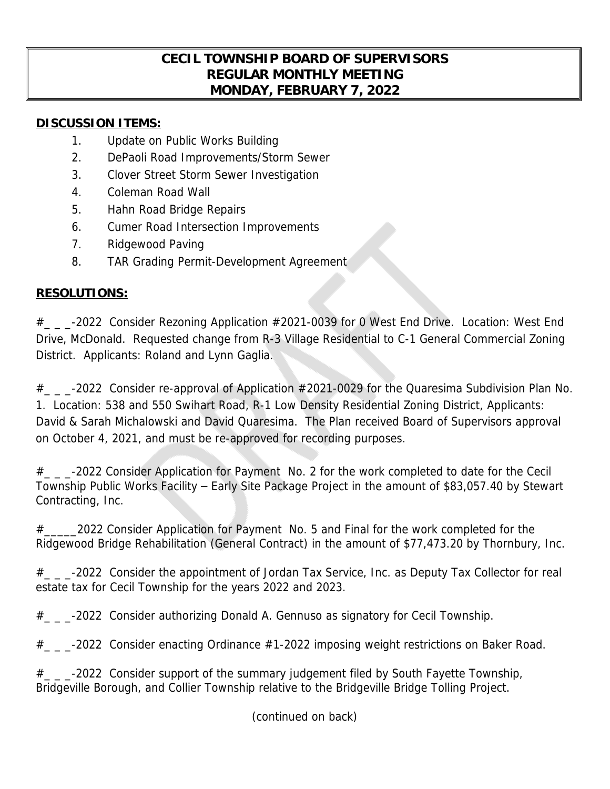# **CECIL TOWNSHIP BOARD OF SUPERVISORS REGULAR MONTHLY MEETING MONDAY, FEBRUARY 7, 2022**

## **DISCUSSION ITEMS:**

- 1. Update on Public Works Building
- 2. DePaoli Road Improvements/Storm Sewer
- 3. Clover Street Storm Sewer Investigation
- 4. Coleman Road Wall
- 5. Hahn Road Bridge Repairs
- 6. Cumer Road Intersection Improvements
- 7. Ridgewood Paving
- 8. TAR Grading Permit-Development Agreement

# **RESOLUTIONS:**

 $#$   $_{-}$   $_{-}$ -2022 Consider Rezoning Application  $#2021$ -0039 for 0 West End Drive. Location: West End Drive, McDonald. Requested change from R-3 Village Residential to C-1 General Commercial Zoning District. Applicants: Roland and Lynn Gaglia.

 $\#$   $_{\sim}$   $_{\sim}$  -2022 Consider re-approval of Application  $\#2021$ -0029 for the Quaresima Subdivision Plan No. 1. Location: 538 and 550 Swihart Road, R-1 Low Density Residential Zoning District, Applicants: David & Sarah Michalowski and David Quaresima. The Plan received Board of Supervisors approval on October 4, 2021, and must be re-approved for recording purposes.

# -2022 Consider Application for Payment No. 2 for the work completed to date for the Cecil Township Public Works Facility – Early Site Package Project in the amount of \$83,057.40 by Stewart Contracting, Inc.

# 2022 Consider Application for Payment No. 5 and Final for the work completed for the Ridgewood Bridge Rehabilitation (General Contract) in the amount of \$77,473.20 by Thornbury, Inc.

 $#$   $_{-}$   $_{-}$ -2022 Consider the appointment of Jordan Tax Service, Inc. as Deputy Tax Collector for real estate tax for Cecil Township for the years 2022 and 2023.

 $#_{\_ \text{max}}$  -2022 Consider authorizing Donald A. Gennuso as signatory for Cecil Township.

 $#$   $_{\sim}$   $_{\sim}$  -2022 Consider enacting Ordinance #1-2022 imposing weight restrictions on Baker Road.

 $\#$   $_{\sim}$   $_{\sim}$  -2022 Consider support of the summary judgement filed by South Fayette Township, Bridgeville Borough, and Collier Township relative to the Bridgeville Bridge Tolling Project.

(continued on back)